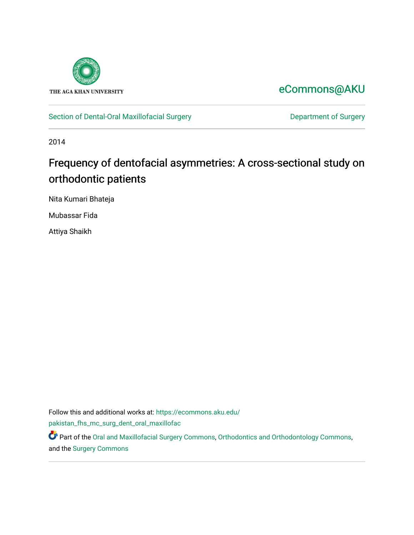

# [eCommons@AKU](https://ecommons.aku.edu/)

[Section of Dental-Oral Maxillofacial Surgery](https://ecommons.aku.edu/pakistan_fhs_mc_surg_dent_oral_maxillofac) **Department of Surgery** Department of Surgery

2014

# Frequency of dentofacial asymmetries: A cross-sectional study on orthodontic patients

Nita Kumari Bhateja

Mubassar Fida

Attiya Shaikh

Follow this and additional works at: [https://ecommons.aku.edu/](https://ecommons.aku.edu/pakistan_fhs_mc_surg_dent_oral_maxillofac?utm_source=ecommons.aku.edu%2Fpakistan_fhs_mc_surg_dent_oral_maxillofac%2F153&utm_medium=PDF&utm_campaign=PDFCoverPages) [pakistan\\_fhs\\_mc\\_surg\\_dent\\_oral\\_maxillofac](https://ecommons.aku.edu/pakistan_fhs_mc_surg_dent_oral_maxillofac?utm_source=ecommons.aku.edu%2Fpakistan_fhs_mc_surg_dent_oral_maxillofac%2F153&utm_medium=PDF&utm_campaign=PDFCoverPages)

Part of the [Oral and Maxillofacial Surgery Commons](http://network.bepress.com/hgg/discipline/656?utm_source=ecommons.aku.edu%2Fpakistan_fhs_mc_surg_dent_oral_maxillofac%2F153&utm_medium=PDF&utm_campaign=PDFCoverPages), [Orthodontics and Orthodontology Commons,](http://network.bepress.com/hgg/discipline/657?utm_source=ecommons.aku.edu%2Fpakistan_fhs_mc_surg_dent_oral_maxillofac%2F153&utm_medium=PDF&utm_campaign=PDFCoverPages) and the [Surgery Commons](http://network.bepress.com/hgg/discipline/706?utm_source=ecommons.aku.edu%2Fpakistan_fhs_mc_surg_dent_oral_maxillofac%2F153&utm_medium=PDF&utm_campaign=PDFCoverPages)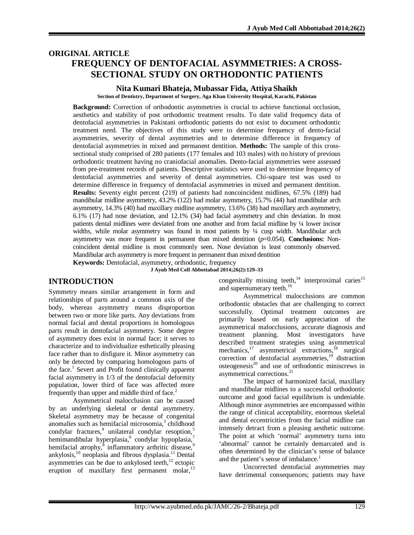# **ORIGINAL ARTICLE FREQUENCY OF DENTOFACIAL ASYMMETRIES: A CROSS-SECTIONAL STUDY ON ORTHODONTIC PATIENTS**

#### **Nita Kumari Bhateja, Mubassar Fida, Attiya Shaikh**

**Section of Dentistry, Department of Surgery, Aga Khan University Hospital, Karachi, Pakistan**

**Background:** Correction of orthodontic asymmetries is crucial to achieve functional occlusion, aesthetics and stability of post orthodontic treatment results. To date valid frequency data of dentofacial asymmetries in Pakistani orthodontic patients do not exist to document orthodontic treatment need. The objectives of this study were to determine frequency of dento-facial asymmetries, severity of dental asymmetries and to determine difference in frequency of dentofacial asymmetries in mixed and permanent dentition. **Methods:** The sample of this crosssectional study comprised of 280 patients (177 females and 103 males) with no history of previous orthodontic treatment having no craniofacial anomalies. Dento-facial asymmetries were assessed from pre-treatment records of patients. Descriptive statistics were used to determine frequency of dentofacial asymmetries and severity of dental asymmetries. Chi-square test was used to determine difference in frequency of dentofacial asymmetries in mixed and permanent dentition. **Results:** Seventy eight percent (219) of patients had noncoincident midlines, 67.5% (189) had mandibular midline asymmetry, 43.2% (122) had molar asymmetry, 15.7% (44) had mandibular arch asymmetry, 14.3% (40) had maxillary midline asymmetry, 13.6% (38) had maxillary arch asymmetry, 6.1% (17) had nose deviation, and 12.1% (34) had facial asymmetry and chin deviation. In most patients dental midlines were deviated from one another and from facial midline by ¼ lower incisor widths, while molar asymmetry was found in most patients by ¼ cusp width. Mandibular arch asymmetry was more frequent in permanent than mixed dentition  $(p=0.054)$ . **Conclusions:** Noncoincident dental midline is most commonly seen. Nose deviation is least commonly observed. Mandibular arch asymmetry is more frequent in permanent than mixed dentition

**Keywords:** Dentofacial, asymmetry, orthodontic, frequency

**J Ayub Med Coll Abbottabad 2014;26(2):129–33**

#### **INTRODUCTION**

Symmetry means similar arrangement in form and relationships of parts around a common axis of the body, whereas asymmetry means disproportion between two or more like parts. Any deviations from normal facial and dental proportions in homologous parts result in dentofacial asymmetry. Some degree of asymmetry does exist in normal face; it serves to characterize and to individualize esthetically pleasing face rather than to disfigure it. Minor asymmetry can only be detected by comparing homologous parts of the face.<sup>1</sup> Severt and Profit found clinically apparent facial asymmetry in 1/3 of the dentofacial deformity population, lower third of face was affected more frequently than upper and middle third of face.<sup>2</sup>

Asymmetrical malocclusion can be caused by an underlying skeletal or dental asymmetry. Skeletal asymmetry may be because of congenital anomalies such as hemifacial microsomia,<sup>3</sup> childhood  $\text{condylar}$  fractures,<sup>4</sup> unilateral condylar resoption,<sup>5</sup> hemimandibular hyperplasia, condylar hypoplasia, $^7$ hemifacial atrophy,<sup>8</sup> inflammatory arthritic disease,<sup>9</sup> ankylosis, $^{10}$  neoplasia and fibrous dysplasia.<sup>11</sup> Dental asymmetries can be due to ankylosed teeth, $12$  ectopic eruption of maxillary first permanent molar, $^{13}$ 

congenitally missing teeth, $14$  interproximal caries<sup>15</sup> and supernumerary teeth.<sup>16</sup>

Asymmetrical malocclusions are common orthodontic obstacles that are challenging to correct successfully. Optimal treatment outcomes are primarily based on early appreciation of the asymmetrical malocclusions, accurate diagnosis and treatment planning. Most investigators have described treatment strategies using asymmetrical mechanics,<sup>17</sup> asymmetrical extractions,<sup>18</sup> surgical correction of dentofacial asymmetries,<sup>19</sup> distraction  $osteogenesis<sup>20</sup>$  and use of orthodontic miniscrews in asymmetrical corrections.<sup>21</sup>

The impact of harmonized facial, maxillary and mandibular midlines to a successful orthodontic outcome and good facial equilibrium is undeniable. Although minor asymmetries are encompassed within the range of clinical acceptability, enormous skeletal and dental eccentricities from the facial midline can intensely detract from a pleasing aesthetic outcome. The point at which 'normal' asymmetry turns into 'abnormal' cannot be certainly demarcated and is often determined by the clinician's sense of balance and the patient's sense of imbalance.<sup>1</sup>

Uncorrected dentofacial asymmetries may have detrimental consequences; patients may have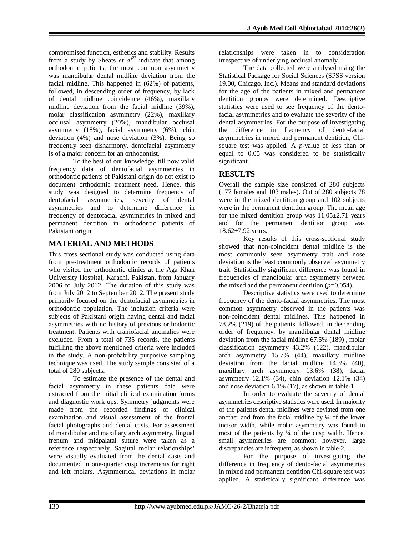compromised function, esthetics and stability. Results from a study by Sheats  $et \text{ } al^{22}$  indicate that among orthodontic patients, the most common asymmetry was mandibular dental midline deviation from the facial midline. This happened in (62%) of patients, followed, in descending order of frequency, by lack of dental midline coincidence (46%), maxillary midline deviation from the facial midline (39%), molar classification asymmetry (22%), maxillary occlusal asymmetry (20%), mandibular occlusal asymmetry (18%), facial asymmetry (6%), chin deviation (4%) and nose deviation (3%). Being so frequently seen disharmony, dentofacial asymmetry is of a major concern for an orthodontist.

To the best of our knowledge, till now valid frequency data of dentofacial asymmetries in orthodontic patients of Pakistani origin do not exist to document orthodontic treatment need. Hence, this study was designed to determine frequency of dentofacial asymmetries, severity of dental asymmetries and to determine difference in frequency of dentofacial asymmetries in mixed and permanent dentition in orthodontic patients of Pakistani origin.

# **MATERIAL AND METHODS**

This cross sectional study was conducted using data from pre-treatment orthodontic records of patients who visited the orthodontic clinics at the Aga Khan University Hospital, Karachi, Pakistan, from January 2006 to July 2012. The duration of this study was from July 2012 to September 2012. The present study primarily focused on the dentofacial asymmetries in orthodontic population. The inclusion criteria were subjects of Pakistani origin having dental and facial asymmetries with no history of previous orthodontic treatment. Patients with craniofacial anomalies were excluded. From a total of 735 records, the patients fulfilling the above mentioned criteria were included in the study. A non-probability purposive sampling technique was used. The study sample consisted of a total of 280 subjects.

To estimate the presence of the dental and facial asymmetry in these patients data were extracted from the initial clinical examination forms and diagnostic work ups. Symmetry judgments were made from the recorded findings of clinical examination and visual assessment of the frontal facial photographs and dental casts. For assessment of mandibular and maxillary arch asymmetry, lingual frenum and midpalatal suture were taken as a reference respectively. Sagittal molar relationships' were visually evaluated from the dental casts and documented in one-quarter cusp increments for right and left molars. Asymmetrical deviations in molar

relationships were taken in to consideration irrespective of underlying occlusal anomaly.

The data collected were analysed using the Statistical Package for Social Sciences (SPSS version 19.00, Chicago, Inc.). Means and standard deviations for the age of the patients in mixed and permanent dentition groups were determined. Descriptive statistics were used to see frequency of the dentofacial asymmetries and to evaluate the severity of the dental asymmetries. For the purpose of investigating the difference in frequency of dento-facial asymmetries in mixed and permanent dentition, Chisquare test was applied. A *p-*value of less than or equal to 0.05 was considered to be statistically significant.

## **RESULTS**

Overall the sample size consisted of 280 subjects (177 females and 103 males). Out of 280 subjects 78 were in the mixed dentition group and 102 subjects were in the permanent dentition group. The mean age for the mixed dentition group was  $11.05 \pm 2.71$  years and for the permanent dentition group was 18.62±7.92 years.

Key results of this cross-sectional study showed that non-coincident dental midline is the most commonly seen asymmetry trait and nose deviation is the least commonly observed asymmetry trait. Statistically significant difference was found in frequencies of mandibular arch asymmetry between the mixed and the permanent dentition  $(p=0.054)$ .

Descriptive statistics were used to determine frequency of the dento-facial asymmetries. The most common asymmetry observed in the patients was non-coincident dental midlines. This happened in 78.2% (219) of the patients, followed, in descending order of frequency, by mandibular dental midline deviation from the facial midline 67.5% (189) , molar classification asymmetry 43.2% (122), mandibular arch asymmetry 15.7% (44), maxillary midline deviation from the facial midline 14.3% (40), maxillary arch asymmetry 13.6% (38), facial asymmetry 12.1% (34), chin deviation 12.1% (34) and nose deviation 6.1% (17), as shown in table-1.

In order to evaluate the severity of dental asymmetries descriptive statistics were used. In majority of the patients dental midlines were deviated from one another and from the facial midline by ¼ of the lower incisor width, while molar asymmetry was found in most of the patients by  $\frac{1}{4}$  of the cusp width. Hence, small asymmetries are common; however, large discrepancies are infrequent, as shown in table-2.

For the purpose of investigating the difference in frequency of dento-facial asymmetries in mixed and permanent dentition Chi-square test was applied. A statistically significant difference was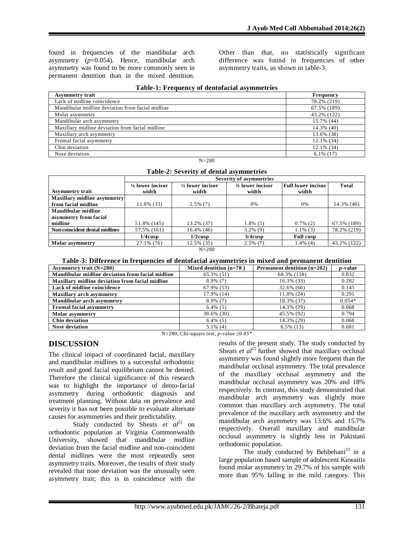found in frequencies of the mandibular arch asymmetry  $(p=0.054)$ . Hence, mandibular arch asymmetry was found to be more commonly seen in permanent dentition than in the mixed dentition.

Other than that, no statistically significant difference was found in frequencies of other asymmetry traits, as shown in table-3.

| <b>Asymmetry trait</b>                           | <b>Frequency</b> |
|--------------------------------------------------|------------------|
| Lack of midline coincidence                      | 78.2% (219)      |
| Mandibular midline deviation from facial midline | 67.5% (189)      |
| Molar asymmetry                                  | 43.2% (122)      |
| Mandibular arch asymmetry                        | 15.7% (44)       |
| Maxillary midline deviation from facial midline  | 14.3% (40)       |
| Maxillary arch asymmetry                         | 13.6% (38)       |
| Frontal facial asymmetry                         | $12.1\%$ (34)    |
| Chin deviation                                   | $12.1\%$ (34)    |
| Nose deviation                                   | $6.1\%$ (17)     |

#### **Table-1: Frequency of dentofacial asymmetries**

N=280

|  | Table-2: Severity of dental asymmetries |  |  |  |
|--|-----------------------------------------|--|--|--|
|--|-----------------------------------------|--|--|--|

|                                    | <b>Severity of asymmetries</b> |                             |                  |                    |              |
|------------------------------------|--------------------------------|-----------------------------|------------------|--------------------|--------------|
|                                    | $\frac{1}{4}$ lower incisor    | $\frac{1}{2}$ lower incisor | 34 lower incisor | Full lower incisor | <b>Total</b> |
| <b>Asymmetry trait</b>             | width                          | width                       | width            | width              |              |
| <b>Maxillary midline asymmetry</b> |                                |                             |                  |                    |              |
| from facial midline                | 11.8% (33)                     | $2.5\%$ (7)                 | 0%               | 0%                 | 14.3% (40)   |
| <b>Mandibular midline</b>          |                                |                             |                  |                    |              |
| asymmetry from facial              |                                |                             |                  |                    |              |
| midline                            | 51.8% (145)                    | 13.2% (37)                  | $1.8\%$ (5)      | $0.7\%$ (2)        | 67.5% (189)  |
| Non-coincident dental midlines     | 57.5% (161)                    | $16.4\%$ (46)               | $3.2\%$ (9)      | $1.1\%$ (3)        | 78.2% (219)  |
|                                    | $1/4$ cusp                     | 1/2cusp                     | 3/4cusp          | <b>Full cusp</b>   |              |
| <b>Molar</b> asymmetry             | 27.1% (76)                     | 12.5% (35)                  | $2.5\%$ (7)      | $1.4\%$ (4)        | 43.2% (122)  |
|                                    |                                | $N = 200$                   |                  |                    |              |

#### N=280

#### **Table-3: Difference in frequencies of dentofacial asymmetries in mixed and permanent dentition**

| Asymmetry trait $(N=280)$                        | Mixed dentition $(n=78)$ | Permanent dentition (n=202) | <i>p</i> -value |
|--------------------------------------------------|--------------------------|-----------------------------|-----------------|
| Mandibular midline deviation from facial midline | 65.3% (51)               | 68.3% (138)                 | 0.832           |
| Maxillary midline deviation from facial midline  | $8.9\%$ (7)              | $16.3\%$ (33)               | 0.282           |
| Lack of midline coincidence                      | 67.9% (53)               | $32.6\%$ (66)               | 0.145           |
| <b>Maxillary arch asymmetry</b>                  | 17.9% (14)               | 11.8% (24)                  | 0.291           |
| Mandibular arch asymmetry                        | $8.9\%$ (7)              | 18.3% (37)                  | $0.054*$        |
| <b>Frontal facial asymmetry</b>                  | $6.4\%$ (5)              | 14.3% (29)                  | 0.068           |
| <b>Molar</b> asymmetry                           | 38.6% (30)               | 45.5% (92)                  | 0.794           |
| <b>Chin deviation</b>                            | $6.4\%$ (5)              | 14.3% (29)                  | 0.068           |
| <b>Nose deviation</b>                            | $5.1\%$ (4)              | $6.5\%$ (13)                | 0.681           |

N=280, Chi-square test,  $p$ -value  $\leq 0.05*$ 

#### **DISCUSSION**

The clinical impact of coordinated facial, maxillary and mandibular midlines to a successful orthodontic result and good facial equilibrium cannot be denied. Therefore the clinical significance of this research was to highlight the importance of dento-facial asymmetry during orthodontic diagnosis and treatment planning. Without data on prevalence and severity it has not been possible to evaluate alternate causes for asymmetries and their predictability.

Study conducted by Sheats *et al*<sup>22</sup> on orthodontic population at Virginia Commonwealth University, showed that mandibular midline deviation from the facial midline and non-coincident dental midlines were the most repeatedly seen asymmetry traits. Moreover, the results of their study revealed that nose deviation was the unusually seen asymmetry trait; this is in coincidence with the

results of the present study. The study conducted by Sheats *et al*<sup>22</sup> further showed that maxillary occlusal asymmetry was found slightly more frequent than the mandibular occlusal asymmetry. The total prevalence of the maxillary occlusal asymmetry and the mandibular occlusal asymmetry was 20% and 18% respectively. In contrast, this study demonstrated that mandibular arch asymmetry was slightly more common than maxillary arch asymmetry. The total prevalence of the maxillary arch asymmetry and the mandibular arch asymmetry was 13.6% and 15.7% respectively. Overall maxillary and mandibular occlusal asymmetry is slightly less in Pakistani orthodontic population.

The study conducted by Behbehani<sup>23</sup> in a large population based sample of adolescent Kuwaitis found molar asymmetry in 29.7% of his sample with more than 95% falling in the mild category. This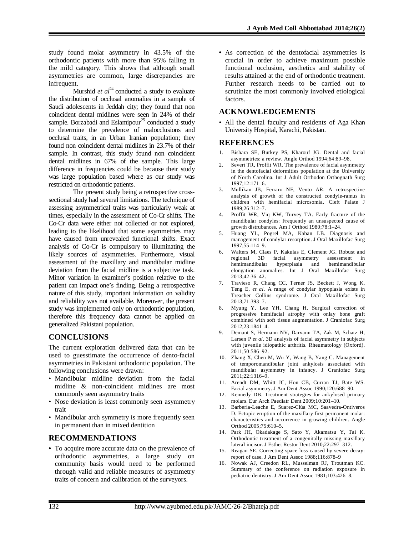study found molar asymmetry in 43.5% of the orthodontic patients with more than 95% falling in the mild category. This shows that although small asymmetries are common, large discrepancies are infrequent.

Murshid *et al*<sup>24</sup> conducted a study to evaluate the distribution of occlusal anomalies in a sample of Saudi adolescents in Jeddah city; they found that non coincident dental midlines were seen in 24% of their sample. Borzabadi and Eslamipour<sup>25</sup> conducted a study to determine the prevalence of malocclusions and occlusal traits, in an Urban Iranian population; they found non coincident dental midlines in 23.7% of their sample. In contrast, this study found non coincident dental midlines in 67% of the sample. This large difference in frequencies could be because their study was large population based where as our study was restricted on orthodontic patients.

The present study being a retrospective crosssectional study had several limitations. The technique of assessing asymmetrical traits was particularly weak at times, especially in the assessment of Co-Cr shifts. The Co-Cr data were either not collected or not explored, leading to the likelihood that some asymmetries may have caused from unrevealed functional shifts. Exact analysis of Co-Cr is compulsory to illuminating the likely sources of asymmetries. Furthermore, visual assessment of the maxillary and mandibular midline deviation from the facial midline is a subjective task. Minor variation in examiner's position relative to the patient can impact one's finding. Being a retrospective nature of this study, important information on validity and reliability was not available. Moreover, the present study was implemented only on orthodontic population, therefore this frequency data cannot be applied on generalized Pakistani population.

### **CONCLUSIONS**

The current exploration delivered data that can be used to guesstimate the occurrence of dento-facial asymmetries in Pakistani orthodontic population. The following conclusions were drawn:

- Mandibular midline deviation from the facial midline & non-coincident midlines are most commonly seen asymmetry traits
- Nose deviation is least commonly seen asymmetry trait
- Mandibular arch symmetry is more frequently seen in permanent than in mixed dentition

#### **RECOMMENDATIONS**

• To acquire more accurate data on the prevalence of orthodontic asymmetries, a large study on community basis would need to be performed through valid and reliable measures of asymmetry traits of concern and calibration of the surveyors.

• As correction of the dentofacial asymmetries is crucial in order to achieve maximum possible functional occlusion, aesthetics and stability of results attained at the end of orthodontic treatment. Further research needs to be carried out to scrutinize the most commonly involved etiological factors.

#### **ACKNOWLEDGEMENTS**

• All the dental faculty and residents of Aga Khan University Hospital, Karachi, Pakistan.

#### **REFERENCES**

- 1. Bishara SE, Burkey PS, Kharouf JG. Dental and facial asymmetries: a review. Angle Orthod 1994;64:89–98.
- 2. Severt TR, Proffit WR. The prevalence of facial asymmetry in the dentofacial deformities population at the University of North Carolina. Int J Adult Orthodon Orthognath Surg 1997;12:171–6.
- 3. Mullikan JB, Ferraro NF, Vento AR. A retrospective analysis of growth of the constructed condyle-ramus in children with hemifacial microsomia. Cleft Palate J 1989;26:312–7.
- 4. Proffit WR, Viq KW, Turvey TA. Early fracture of the mandibular condyles: Frequently an unsuspected cause of growth distrubances. Am J Orthod 1980;78:1–24.
- 5. Huang YL, Pogrel MA, Kaban LB. Diagnosis and management of condylar resorption. J Oral Maxillofac Surg 1997;55:114–9.
- 6. Walters M, Claes P, Kakulas E, Clement JG. Robust and regional 3D facial asymmetry assessment in hyperplasia and elongation anomalies. Int J Oral Maxillofac Surg 2013;42:36–42.
- 7. Travieso R, Chang CC, Terner JS, Beckett J, Wong K, Teng E, *et al*. A range of condylar hypoplasia exists in Treacher Collins syndrome. J Oral Maxillofac Surg 2013;71:393–7.
- 8. Myung Y, Lee YH, Chang H. Surgical correction of progressive hemifacial atrophy with onlay bone graft combined with soft tissue augmentation. J Craniofac Surg 2012;23:1841–4.
- 9. Demant S, Hermann NV, Darvann TA, Zak M, Schatz H, Larsen P *et al*. 3D analysis of facial asymmetry in subjects with juvenile idiopathic arthritis. Rheumatology (Oxford). 2011;50:586–92.
- 10. Zhang X, Chen M, Wu Y, Wang B, Yang C. Management of temporomandibular joint ankylosis associated with mandibular asymmetry in infancy. J Craniofac Surg 2011;22:1316–9.
- 11. Arendt DM, Whitt JC, Hon CB, Curran TJ, Bate WS. Facial asymmetry. J Am Dent Assoc 1990;120:688–90.
- 12. Kennedy DB. Treatment strategies for ankylosed primary molars. Eur Arch Paediatr Dent 2009;10:201–10.
- 13. Barberia-Leache E, Suarez-Clúa MC, Saavedra-Ontiveros D. Ectopic eruption of the maxillary first permanent molar: characteristics and occurrence in growing children. Angle Orthod 2005;75:610–5.
- 14. Park JH, Okadakage S, Sato Y, Akamatsu Y, Tai K. Orthodontic treatment of a congenitally missing maxillary lateral incisor. J Esthet Restor Dent 2010;22:297–312.
- 15. Reagan SE. Correcting space loss caused by severe decay: report of case. J Am Dent Assoc 1988;116:878–9
- 16. Nowak AJ, Creedon RL, Musselman RJ, Troutman KC. Summary of the conference on radiation exposure in pediatric dentistry. J Am Dent Assoc 1981;103:426–8.